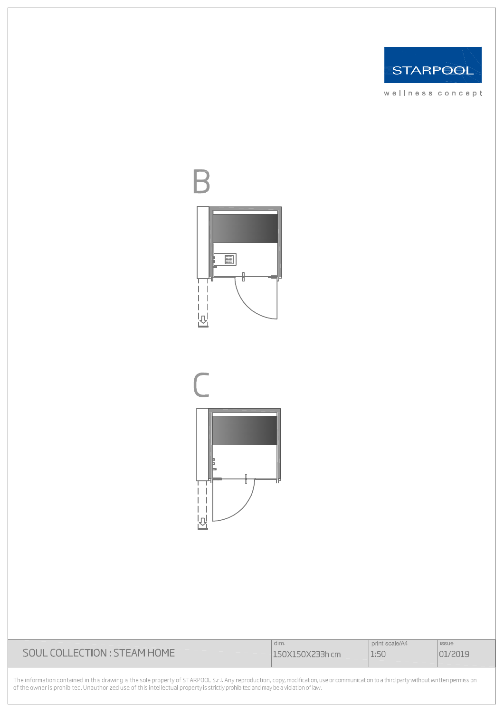

wellness concept





|                              | dim.            | print scale/A4 | <i>issue</i> |
|------------------------------|-----------------|----------------|--------------|
| SOUL COLLECTION : STEAM HOME | 150X150X233h cm | 1:50           | 01/2019      |

The information contained in this drawing is the sole property of STARPOOL S.r.l. Any reproduction, copy, modification, use or communication to a third party without written permission<br>of the owner is prohibited. Unauthori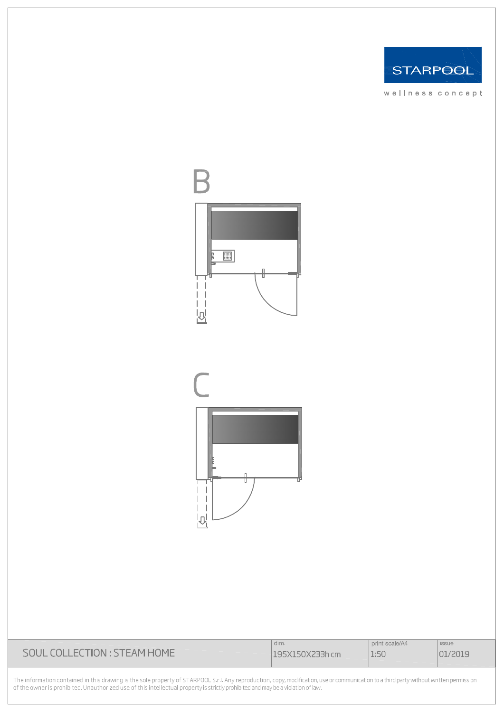

wellness concept





|                              | dim.            | print scale/A4 | <i>issue</i> |
|------------------------------|-----------------|----------------|--------------|
| SOUL COLLECTION : STEAM HOME | 195X150X233h cm | 1:50           |              |
|                              |                 |                |              |

The information contained in this drawing is the sole property of STARPOOL S.r.l. Any reproduction, copy, modification, use or communication to a third party without written permission<br>of the owner is prohibited. Unauthori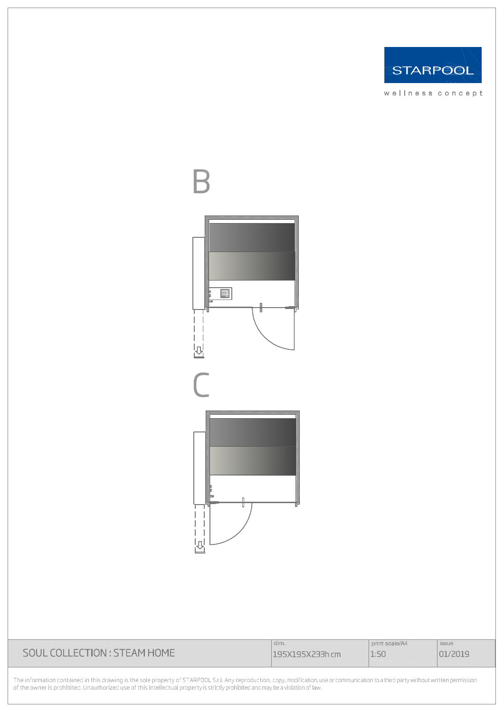

wellness concept



|                              | dim.            | print scale/A4 | issue   |
|------------------------------|-----------------|----------------|---------|
| SOUL COLLECTION : STEAM HOME | 195X195X233h cm | 1:50           | 01/2019 |

The information contained in this drawing is the sole property of STARPOOL S.r.l. Any reproduction, copy, modification, use or communication to a third party without written permission<br>of the owner is prohibited. Unauthori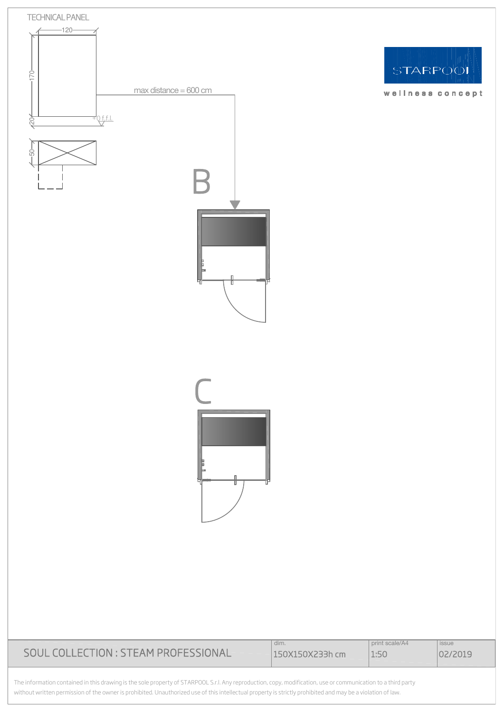

|                                      | dim.            | print scale/A4 | <i>issue</i> |
|--------------------------------------|-----------------|----------------|--------------|
| SOUL COLLECTION : STEAM PROFESSIONAL | 150X150X233h cm | 1:5C           | 02/2019      |
|                                      |                 |                |              |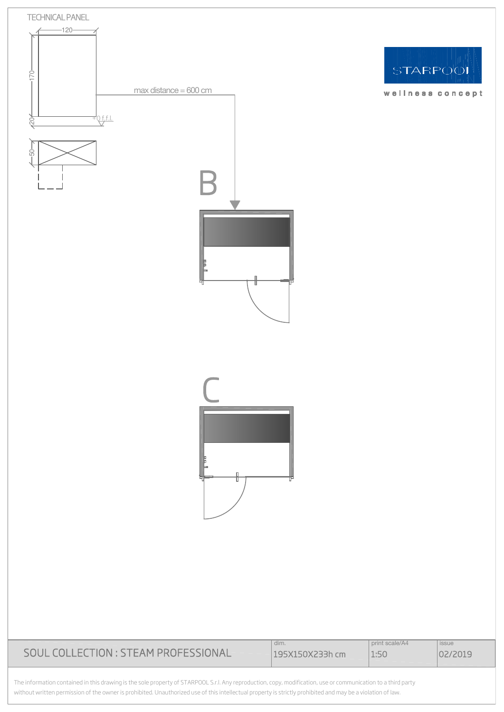

STARPOOL

wellness concept

|                                      | dim.            | print scale/A4 | <i>issue</i> |
|--------------------------------------|-----------------|----------------|--------------|
| SOUL COLLECTION : STEAM PROFESSIONAL | 195X150X233h cm | 1:50           | 02/2019      |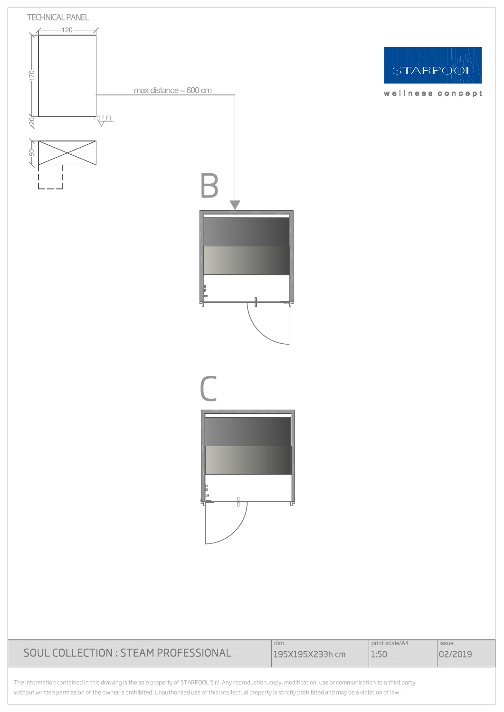